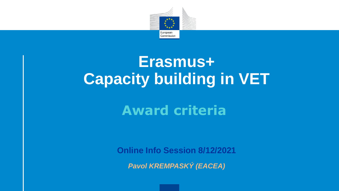

## **Erasmus+ Capacity building in VET**

### **Award criteria**

**Online Info Session 8/12/2021**

*Pavol KREMPASKÝ (EACEA)*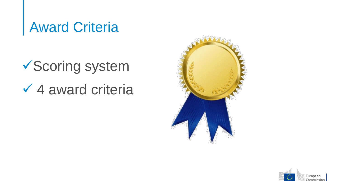### Award Criteria

## Scoring system  $\checkmark$  4 award criteria



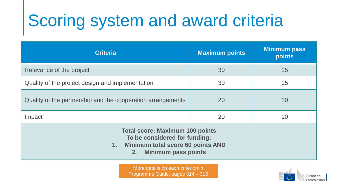# Scoring system and award criteria

| <b>Criteria</b>                                                                                                                                     | <b>Maximum points</b> | <b>Minimum pass</b><br>points |
|-----------------------------------------------------------------------------------------------------------------------------------------------------|-----------------------|-------------------------------|
| Relevance of the project                                                                                                                            | 30                    | 15                            |
| Quality of the project design and implementation                                                                                                    | 30                    | 15                            |
| Quality of the partnership and the cooperation arrangements                                                                                         | 20                    | 10                            |
| Impact                                                                                                                                              | 20                    | 10                            |
| <b>Total score: Maximum 100 points</b><br>To be considered for funding:<br>1. Minimum total score 60 points AND<br><b>Minimum pass points</b><br>2. |                       |                               |

More details on each criterion in Programme Guide, pages 314 – 315

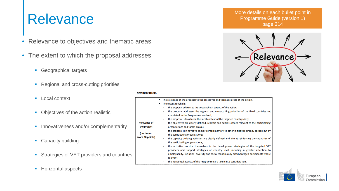- Relevance to objectives and thematic areas
- The extent to which the proposal addresses:
	- **Geographical targets**
	- **Regional and cross-cutting priorities**
	- **Local context**
	- Objectives of the action realistic
	- **Innovativeness and/or complementarity**
	- Capacity building
	- **Strategies of VET providers and countries**
	- **Horizontal aspects**

### **AWARD CRITERIA**

More details on each bullet point in<br>Programme Guide (version 1) Programme Guide (version 1) page 314



|                              | The relevance of the proposal to the objectives and thematic areas of the action.<br>The extent to which:                                                                                                                                                                                                                                                         |  |  |
|------------------------------|-------------------------------------------------------------------------------------------------------------------------------------------------------------------------------------------------------------------------------------------------------------------------------------------------------------------------------------------------------------------|--|--|
|                              | the proposal addresses the geographical targets of the action;                                                                                                                                                                                                                                                                                                    |  |  |
|                              | the proposal addresses the regional and cross-cutting priorities of the third countries not<br>associated to the Programme involved;                                                                                                                                                                                                                              |  |  |
|                              | the proposal is feasible in the local context of the targeted country(/ies);<br>$\sim$                                                                                                                                                                                                                                                                            |  |  |
| <b>Relevance of</b>          | the objectives are clearly defined, realistic and address issues relevant to the participating                                                                                                                                                                                                                                                                    |  |  |
| the project                  | organisations and target groups;                                                                                                                                                                                                                                                                                                                                  |  |  |
| (maximum<br>score 30 points) | the proposal is innovative and/or complementary to other initiatives already carried out by<br>the participating organisations;<br>the capacity building activities are clearly defined and aim at reinforcing the capacities of<br>the participating organisations;<br>the activities inscribe themselves in the development strategies of the targeted VET<br>٠ |  |  |
|                              | providers and support strategies at country level, including a greater attention to<br>employability, inclusion, diversity and socio-economically disadvantaged participants where<br>relevant;                                                                                                                                                                   |  |  |
|                              |                                                                                                                                                                                                                                                                                                                                                                   |  |  |

the horizontal aspects of the Programme are taken into consideration.

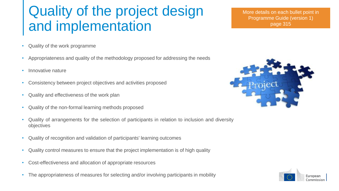### Quality of the project design and implementation

More details on each bullet point in Programme Guide (version 1) page 315

- Quality of the work programme
- Appropriateness and quality of the methodology proposed for addressing the needs
- Innovative nature
- Consistency between project objectives and activities proposed
- Quality and effectiveness of the work plan
- Quality of the non-formal learning methods proposed
- Quality of arrangements for the selection of participants in relation to inclusion and diversity objectives
- Quality of recognition and validation of participants' learning outcomes
- Quality control measures to ensure that the project implementation is of high quality
- Cost-effectiveness and allocation of appropriate resources
- The appropriateness of measures for selecting and/or involving participants in mobility



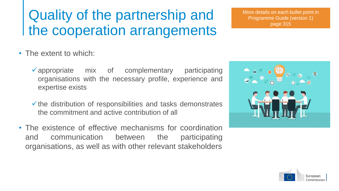### Quality of the partnership and the cooperation arrangements

- The extent to which:
	- appropriate mix of complementary participating organisations with the necessary profile, experience and expertise exists
	- $\checkmark$  the distribution of responsibilities and tasks demonstrates the commitment and active contribution of all
- The existence of effective mechanisms for coordination and communication between the participating organisations, as well as with other relevant stakeholders





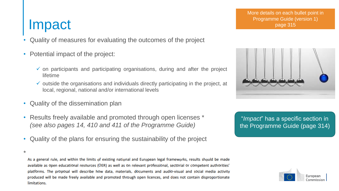### Impact

\*

- Quality of measures for evaluating the outcomes of the project
- Potential impact of the project:
	- $\checkmark$  on participants and participating organisations, during and after the project lifetime
	- $\checkmark$  outside the organisations and individuals directly participating in the project, at local, regional, national and/or international levels
- Quality of the dissemination plan
- Results freely available and promoted through open licenses \* *(see also pages 14, 410 and 411 of the Programme Guide)*
- Quality of the plans for ensuring the sustainability of the project

As a general rule, and within the limits of existing national and European legal frameworks, results should be made available as open educational resources (OER) as well as on relevant professional, sectorial or competent authorities' platforms. The proposal will describe how data, materials, documents and audio-visual and social media activity produced will be made freely available and promoted through open licences, and does not contain disproportionate limitations.



"*Impact*" has a specific section in the Programme Guide (page 314)

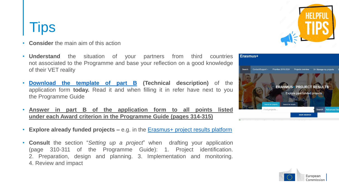### **Tips**

- **Consider** the main aim of this action
- **Understand** the situation of your partners from third countries not associated to the Programme and base your reflection on a good knowledge of their VET reality
- **[Download](https://ec.europa.eu/info/funding-tenders/opportunities/docs/2021-2027/erasmus/temp-form/af/af_erasmus-bb-lsii_en.pdf) the template of part B (Technical description)** of the application form **today.** Read it and when filling it in refer have next to you the Programme Guide
- **Answer in part B of the application form to all points listed under each Award criterion in the Programme Guide (pages 314-315)**
- **Explore already funded projects –** e.g. in the [Erasmus+](https://ec.europa.eu/programmes/erasmus-plus/projects#search/project/keyword=) project results platform
- **Consult** the section "*Setting up a project*" when drafting your application (page 310-311 of the Programme Guide): 1. Project identification. 2. Preparation, design and planning. 3. Implementation and monitoring. 4. Review and impact